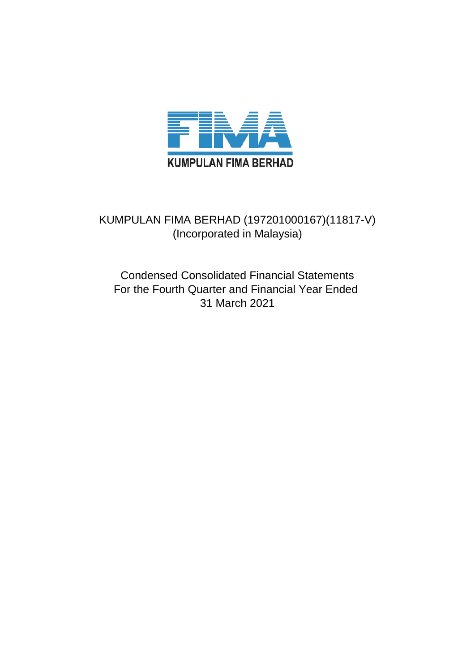

## KUMPULAN FIMA BERHAD (197201000167)(11817-V) (Incorporated in Malaysia)

Condensed Consolidated Financial Statements For the Fourth Quarter and Financial Year Ended 31 March 2021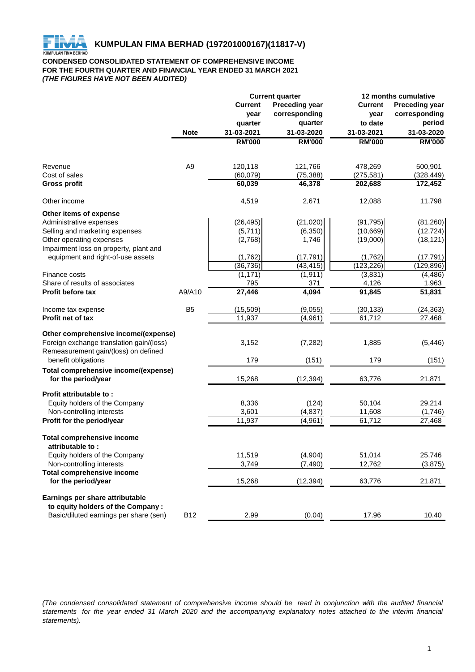

#### **CONDENSED CONSOLIDATED STATEMENT OF COMPREHENSIVE INCOME FOR THE FOURTH QUARTER AND FINANCIAL YEAR ENDED 31 MARCH 2021** *(THE FIGURES HAVE NOT BEEN AUDITED)*

|                                          |                | <b>Current quarter</b> |                       |                | 12 months cumulative  |  |  |
|------------------------------------------|----------------|------------------------|-----------------------|----------------|-----------------------|--|--|
|                                          |                | <b>Current</b>         | <b>Preceding year</b> | <b>Current</b> | <b>Preceding year</b> |  |  |
|                                          |                | year                   | corresponding         | year           | corresponding         |  |  |
|                                          |                | quarter                | quarter               | to date        | period                |  |  |
|                                          | <b>Note</b>    | 31-03-2021             | 31-03-2020            | 31-03-2021     | 31-03-2020            |  |  |
|                                          |                | <b>RM'000</b>          | <b>RM'000</b>         | <b>RM'000</b>  | <b>RM'000</b>         |  |  |
|                                          |                |                        |                       |                |                       |  |  |
| Revenue                                  | A <sub>9</sub> | 120,118                | 121,766               | 478,269        | 500,901               |  |  |
| Cost of sales                            |                | (60,079)               | (75, 388)             | (275, 581)     | (328, 449)            |  |  |
| <b>Gross profit</b>                      |                | 60,039                 | 46,378                | 202,688        | 172,452               |  |  |
| Other income                             |                | 4,519                  | 2,671                 | 12,088         | 11,798                |  |  |
| Other items of expense                   |                |                        |                       |                |                       |  |  |
| Administrative expenses                  |                | (26, 495)              | (21, 020)             | (91, 795)      | (81, 260)             |  |  |
| Selling and marketing expenses           |                | (5,711)                | (6, 350)              | (10, 669)      | (12, 724)             |  |  |
| Other operating expenses                 |                | (2,768)                | 1,746                 | (19,000)       | (18, 121)             |  |  |
| Impairment loss on property, plant and   |                |                        |                       |                |                       |  |  |
| equipment and right-of-use assets        |                | (1,762)                | (17, 791)             | (1,762)        | (17, 791)             |  |  |
|                                          |                | (36, 736)              | (43, 415)             | (123, 226)     | (129, 896)            |  |  |
| Finance costs                            |                | (1, 171)               | (1, 911)              | (3,831)        | (4, 486)              |  |  |
| Share of results of associates           |                | 795                    | 371                   | 4,126          | 1,963                 |  |  |
| Profit before tax                        | A9/A10         | 27,446                 | 4,094                 | 91,845         | 51,831                |  |  |
| Income tax expense                       | B <sub>5</sub> | (15, 509)              | (9,055)               | (30, 133)      | (24, 363)             |  |  |
| Profit net of tax                        |                | 11,937                 | (4,961)               | 61,712         | 27,468                |  |  |
| Other comprehensive income/(expense)     |                |                        |                       |                |                       |  |  |
| Foreign exchange translation gain/(loss) |                | 3,152                  | (7, 282)              | 1,885          | (5, 446)              |  |  |
| Remeasurement gain/(loss) on defined     |                |                        |                       |                |                       |  |  |
| benefit obligations                      |                | 179                    | (151)                 | 179            | (151)                 |  |  |
| Total comprehensive income/(expense)     |                |                        |                       |                |                       |  |  |
| for the period/year                      |                | 15,268                 | (12, 394)             | 63,776         | 21,871                |  |  |
| <b>Profit attributable to:</b>           |                |                        |                       |                |                       |  |  |
| Equity holders of the Company            |                | 8,336                  | (124)                 | 50,104         | 29,214                |  |  |
| Non-controlling interests                |                | 3,601                  | (4, 837)              | 11,608         | (1,746)               |  |  |
| Profit for the period/year               |                | 11,937                 | (4,961)               | 61,712         | 27,468                |  |  |
| <b>Total comprehensive income</b>        |                |                        |                       |                |                       |  |  |
| attributable to:                         |                |                        |                       |                |                       |  |  |
| Equity holders of the Company            |                | 11,519                 | (4,904)               | 51,014         | 25,746                |  |  |
| Non-controlling interests                |                | 3,749                  | (7, 490)              | 12,762         | (3,875)               |  |  |
| <b>Total comprehensive income</b>        |                |                        |                       |                |                       |  |  |
| for the period/year                      |                | 15,268                 | (12, 394)             | 63,776         | 21,871                |  |  |
| Earnings per share attributable          |                |                        |                       |                |                       |  |  |
| to equity holders of the Company:        |                |                        |                       |                |                       |  |  |
| Basic/diluted earnings per share (sen)   | <b>B12</b>     | 2.99                   | (0.04)                | 17.96          | 10.40                 |  |  |

(The condensed consolidated statement of comprehensive income should be read in conjunction with the audited financial statements for the year ended 31 March 2020 and the accompanying explanatory notes attached to the interim financial *statements).*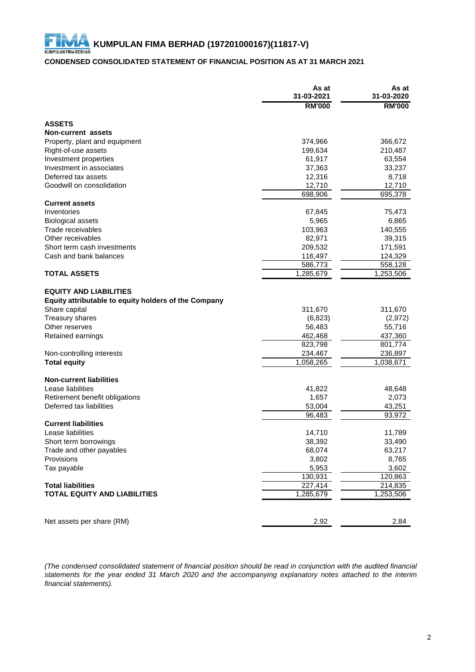#### **CONDENSED CONSOLIDATED STATEMENT OF FINANCIAL POSITION AS AT 31 MARCH 2021**

|                                                                                       | As at<br>31-03-2021 | As at<br>31-03-2020 |
|---------------------------------------------------------------------------------------|---------------------|---------------------|
|                                                                                       | <b>RM'000</b>       | <b>RM'000</b>       |
| <b>ASSETS</b>                                                                         |                     |                     |
| Non-current assets                                                                    |                     |                     |
| Property, plant and equipment                                                         | 374,966             | 366,672             |
| Right-of-use assets                                                                   | 199,634             | 210,487             |
| Investment properties                                                                 | 61,917              | 63,554              |
| Investment in associates                                                              | 37,363              | 33,237              |
| Deferred tax assets                                                                   | 12,316              | 8,718               |
| Goodwill on consolidation                                                             | 12,710              | 12,710              |
|                                                                                       | 698,906             | 695,378             |
| <b>Current assets</b>                                                                 |                     |                     |
| Inventories                                                                           | 67,845              | 75,473              |
| <b>Biological assets</b>                                                              | 5,965               | 6,865               |
| Trade receivables                                                                     | 103,963             | 140,555             |
| Other receivables                                                                     | 82,971              | 39,315              |
| Short term cash investments                                                           | 209,532             | 171,591             |
| Cash and bank balances                                                                | 116,497             | 124,329             |
|                                                                                       | 586,773             | 558,128             |
| <b>TOTAL ASSETS</b>                                                                   | 1,285,679           | 1,253,506           |
| <b>EQUITY AND LIABILITIES</b><br>Equity attributable to equity holders of the Company |                     |                     |
| Share capital                                                                         | 311,670             | 311,670             |
| <b>Treasury shares</b>                                                                | (6, 823)            | (2, 972)            |
| Other reserves                                                                        | 56,483              | 55,716              |
| Retained earnings                                                                     | 462,468             | 437,360             |
|                                                                                       | 823,798             | 801,774             |
| Non-controlling interests                                                             | 234,467             | 236,897             |
| <b>Total equity</b>                                                                   | 1,058,265           | 1,038,671           |
| <b>Non-current liabilities</b>                                                        |                     |                     |
| Lease liabilities                                                                     | 41,822              | 48,648              |
| Retirement benefit obligations                                                        | 1,657               | 2,073               |
| Deferred tax liabilities                                                              | 53,004              | 43,251              |
|                                                                                       | 96,483              | 93,972              |
| <b>Current liabilities</b>                                                            |                     |                     |
| Lease liabilities                                                                     | 14,710              | 11,789              |
| Short term borrowings                                                                 | 38,392              | 33,490              |
| Trade and other payables                                                              | 68,074              | 63,217              |
| Provisions                                                                            | 3,802               | 8,765               |
| Tax payable                                                                           | 5,953               | 3,602               |
|                                                                                       | 130,931             | 120,863             |
| <b>Total liabilities</b>                                                              | 227,414             | 214,835             |
| <b>TOTAL EQUITY AND LIABILITIES</b>                                                   | 1,285,679           | 1,253,506           |
|                                                                                       |                     |                     |
| Net assets per share (RM)                                                             | 2.92                | 2.84                |

(The condensed consolidated statement of financial position should be read in conjunction with the audited financial statements for the year ended 31 March 2020 and the accompanying explanatory notes attached to the interim *financial statements).*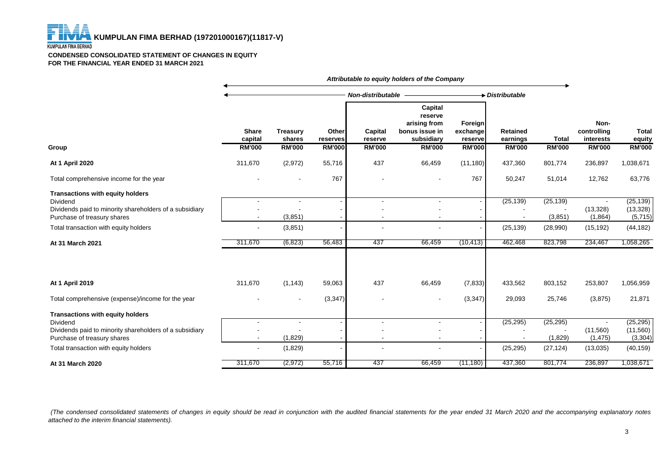#### **KUMPULAN FIMA BERHAD**

F

#### **CONDENSED CONSOLIDATED STATEMENT OF CHANGES IN EQUITY FOR THE FINANCIAL YEAR ENDED 31 MARCH 2021**

|                                                                                                                                               |                         |                           |                   |                    | Attributable to equity holders of the Company                             |                                       |                             |                      |                                  |                                   |
|-----------------------------------------------------------------------------------------------------------------------------------------------|-------------------------|---------------------------|-------------------|--------------------|---------------------------------------------------------------------------|---------------------------------------|-----------------------------|----------------------|----------------------------------|-----------------------------------|
|                                                                                                                                               |                         |                           |                   | Non-distributable  |                                                                           |                                       | Distributable               |                      |                                  |                                   |
|                                                                                                                                               | <b>Share</b><br>capital | <b>Treasury</b><br>shares | Other<br>reserves | Capital<br>reserve | <b>Capital</b><br>reserve<br>arising from<br>bonus issue in<br>subsidiary | <b>Foreign</b><br>exchange<br>reserve | <b>Retained</b><br>earnings | <b>Total</b>         | Non-<br>controlling<br>interests | <b>Total</b><br>equity            |
| Group                                                                                                                                         | <b>RM'000</b>           | <b>RM'000</b>             | <b>RM'000</b>     | <b>RM'000</b>      | <b>RM'000</b>                                                             | <b>RM'000</b>                         | <b>RM'000</b>               | <b>RM'000</b>        | <b>RM'000</b>                    | <b>RM'000</b>                     |
| <b>At 1 April 2020</b>                                                                                                                        | 311,670                 | (2,972)                   | 55,716            | 437                | 66,459                                                                    | (11, 180)                             | 437,360                     | 801,774              | 236,897                          | 1,038,671                         |
| Total comprehensive income for the year                                                                                                       |                         |                           | 767               |                    | $\blacksquare$                                                            | 767                                   | 50,247                      | 51,014               | 12,762                           | 63,776                            |
| <b>Transactions with equity holders</b><br>Dividend<br>Dividends paid to minority shareholders of a subsidiary<br>Purchase of treasury shares |                         | (3,851)                   |                   | $\overline{a}$     | $\overline{a}$<br>$\blacksquare$                                          |                                       | (25, 139)                   | (25, 139)<br>(3,851) | (13, 328)<br>(1,864)             | (25, 139)<br>(13, 328)<br>(5,715) |
| Total transaction with equity holders                                                                                                         |                         | (3,851)                   |                   |                    |                                                                           |                                       | (25, 139)                   | (28,990)             | (15, 192)                        | (44, 182)                         |
| At 31 March 2021                                                                                                                              | 311,670                 | (6, 823)                  | 56,483            | 437                | 66,459                                                                    | (10, 413)                             | 462,468                     | 823,798              | 234,467                          | 1,058,265                         |
| At 1 April 2019                                                                                                                               | 311,670                 | (1, 143)                  | 59,063            | 437                | 66,459                                                                    | (7, 833)                              | 433,562                     | 803,152              | 253,807                          | 1,056,959                         |
| Total comprehensive (expense)/income for the year                                                                                             |                         |                           | (3, 347)          |                    | $\blacksquare$                                                            | (3, 347)                              | 29,093                      | 25,746               | (3,875)                          | 21,871                            |
| <b>Transactions with equity holders</b><br>Dividend<br>Dividends paid to minority shareholders of a subsidiary                                |                         |                           |                   | $\sim$             | $\sim$                                                                    |                                       | (25, 295)                   | (25, 295)            | (11,560)                         | (25, 295)<br>(11, 560)            |
| Purchase of treasury shares                                                                                                                   |                         | (1,829)                   |                   |                    |                                                                           |                                       |                             | (1,829)              | (1, 475)                         | (3, 304)                          |
| Total transaction with equity holders                                                                                                         | $\blacksquare$          | (1,829)                   |                   |                    |                                                                           |                                       | (25, 295)                   | (27, 124)            | (13,035)                         | (40, 159)                         |
| At 31 March 2020                                                                                                                              | 311,670                 | (2, 972)                  | 55,716            | 437                | 66,459                                                                    | (11, 180)                             | 437,360                     | 801,774              | 236,897                          | 1,038,671                         |

(The condensed consolidated statements of changes in equity should be read in conjunction with the audited financial statements for the year ended 31 March 2020 and the accompanying explanatory notes *attached to the interim financial statements).*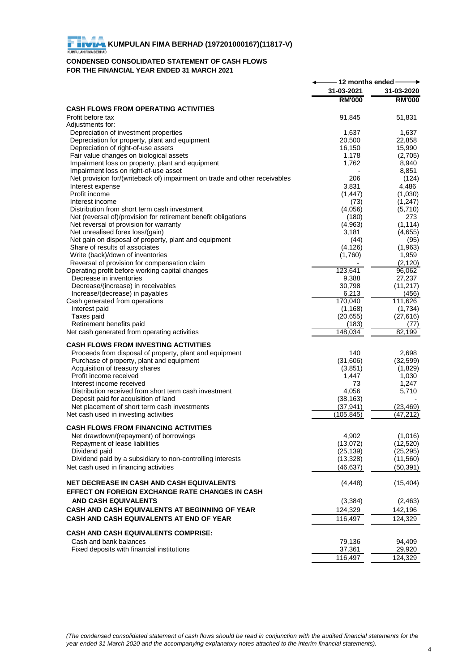# **FIMA EXTRAPTION FIMA BERHAD (197201000167)(11817-V)**

### **CONDENSED CONSOLIDATED STATEMENT OF CASH FLOWS FOR THE FINANCIAL YEAR ENDED 31 MARCH 2021**

| 31-03-2021<br>31-03-2020<br><b>RM'000</b><br><b>RM'000</b><br><b>CASH FLOWS FROM OPERATING ACTIVITIES</b><br>Profit before tax<br>91,845<br>51,831<br>Adjustments for:<br>Depreciation of investment properties<br>1,637<br>1,637<br>Depreciation for property, plant and equipment<br>20,500<br>22,858<br>Depreciation of right-of-use assets<br>16,150<br>15,990<br>Fair value changes on biological assets<br>(2,705)<br>1,178<br>8,940<br>Impairment loss on property, plant and equipment<br>1,762<br>8,851<br>Impairment loss on right-of-use asset<br>Net provision for/(writeback of) impairment on trade and other receivables<br>(124)<br>206<br>3,831<br>4,486<br>Interest expense<br>Profit income<br>(1,030)<br>(1, 447)<br>Interest income<br>(1, 247)<br>(73)<br>Distribution from short term cash investment<br>(4,056)<br>(5,710)<br>Net (reversal of)/provision for retirement benefit obligations<br>273<br>(180)<br>Net reversal of provision for warranty<br>(1, 114)<br>(4,963)<br>Net unrealised forex loss/(gain)<br>3,181<br>(4,655)<br>Net gain on disposal of property, plant and equipment<br>(44)<br>(95)<br>Share of results of associates<br>(4, 126)<br>(1,963)<br>Write (back)/down of inventories<br>(1,760)<br>1,959<br>(2, 120)<br>Reversal of provision for compensation claim<br>123,641<br>96,062<br>Operating profit before working capital changes<br>27,237<br>Decrease in inventories<br>9,388<br>Decrease/(increase) in receivables<br>30,798<br>(11, 217)<br>6,213<br>(456)<br>Increase/(decrease) in payables<br>170,040<br>111,626<br>Cash generated from operations<br>(1,734)<br>Interest paid<br>(1, 168)<br>(27, 616)<br>Taxes paid<br>(20, 655)<br>Retirement benefits paid<br>(183)<br>(77)<br>148,034<br>$\overline{82,199}$<br>Net cash generated from operating activities<br><b>CASH FLOWS FROM INVESTING ACTIVITIES</b><br>Proceeds from disposal of property, plant and equipment<br>140<br>2,698<br>(31,606)<br>Purchase of property, plant and equipment<br>(32, 599)<br>Acquisition of treasury shares<br>(3,851)<br>(1,829)<br>Profit income received<br>1,447<br>1,030<br>Interest income received<br>1,247<br>73<br>Distribution received from short term cash investment<br>4,056<br>5,710<br>Deposit paid for acquisition of land<br>(38, 163)<br>Net placement of short term cash investments<br>(37, 941)<br>(23, 469)<br>(47, 212)<br>Net cash used in investing activities<br>(105, 845)<br><b>CASH FLOWS FROM FINANCING ACTIVITIES</b><br>4,902<br>(1,016)<br>Net drawdown/(repayment) of borrowings<br>(12, 520)<br>Repayment of lease liabilities<br>(13,072)<br>Dividend paid<br>(25, 139)<br>(25, 295)<br>Dividend paid by a subsidiary to non-controlling interests<br>(13, 328)<br>(11,560)<br>Net cash used in financing activities<br>(50, 391)<br>(46,637)<br><b>NET DECREASE IN CASH AND CASH EQUIVALENTS</b><br>(4, 448)<br>(15, 404)<br>EFFECT ON FOREIGN EXCHANGE RATE CHANGES IN CASH<br><b>AND CASH EQUIVALENTS</b><br>(3, 384)<br>(2,463)<br>CASH AND CASH EQUIVALENTS AT BEGINNING OF YEAR<br>124,329<br>142,196<br>CASH AND CASH EQUIVALENTS AT END OF YEAR<br>116,497<br>124,329<br><b>CASH AND CASH EQUIVALENTS COMPRISE:</b><br>Cash and bank balances<br>79,136<br>94,409<br>Fixed deposits with financial institutions<br>37,361<br>29,920<br>116,497<br>124,329 | - 12 months ended - |  |
|-----------------------------------------------------------------------------------------------------------------------------------------------------------------------------------------------------------------------------------------------------------------------------------------------------------------------------------------------------------------------------------------------------------------------------------------------------------------------------------------------------------------------------------------------------------------------------------------------------------------------------------------------------------------------------------------------------------------------------------------------------------------------------------------------------------------------------------------------------------------------------------------------------------------------------------------------------------------------------------------------------------------------------------------------------------------------------------------------------------------------------------------------------------------------------------------------------------------------------------------------------------------------------------------------------------------------------------------------------------------------------------------------------------------------------------------------------------------------------------------------------------------------------------------------------------------------------------------------------------------------------------------------------------------------------------------------------------------------------------------------------------------------------------------------------------------------------------------------------------------------------------------------------------------------------------------------------------------------------------------------------------------------------------------------------------------------------------------------------------------------------------------------------------------------------------------------------------------------------------------------------------------------------------------------------------------------------------------------------------------------------------------------------------------------------------------------------------------------------------------------------------------------------------------------------------------------------------------------------------------------------------------------------------------------------------------------------------------------------------------------------------------------------------------------------------------------------------------------------------------------------------------------------------------------------------------------------------------------------------------------------------------------------------------------------------------------------------------------------------------------------------------------------------------------------------------------------------------------------------------------------------------------------------------------------------------------------------------------------------------|---------------------|--|
|                                                                                                                                                                                                                                                                                                                                                                                                                                                                                                                                                                                                                                                                                                                                                                                                                                                                                                                                                                                                                                                                                                                                                                                                                                                                                                                                                                                                                                                                                                                                                                                                                                                                                                                                                                                                                                                                                                                                                                                                                                                                                                                                                                                                                                                                                                                                                                                                                                                                                                                                                                                                                                                                                                                                                                                                                                                                                                                                                                                                                                                                                                                                                                                                                                                                                                                                                                 |                     |  |
|                                                                                                                                                                                                                                                                                                                                                                                                                                                                                                                                                                                                                                                                                                                                                                                                                                                                                                                                                                                                                                                                                                                                                                                                                                                                                                                                                                                                                                                                                                                                                                                                                                                                                                                                                                                                                                                                                                                                                                                                                                                                                                                                                                                                                                                                                                                                                                                                                                                                                                                                                                                                                                                                                                                                                                                                                                                                                                                                                                                                                                                                                                                                                                                                                                                                                                                                                                 |                     |  |
|                                                                                                                                                                                                                                                                                                                                                                                                                                                                                                                                                                                                                                                                                                                                                                                                                                                                                                                                                                                                                                                                                                                                                                                                                                                                                                                                                                                                                                                                                                                                                                                                                                                                                                                                                                                                                                                                                                                                                                                                                                                                                                                                                                                                                                                                                                                                                                                                                                                                                                                                                                                                                                                                                                                                                                                                                                                                                                                                                                                                                                                                                                                                                                                                                                                                                                                                                                 |                     |  |
|                                                                                                                                                                                                                                                                                                                                                                                                                                                                                                                                                                                                                                                                                                                                                                                                                                                                                                                                                                                                                                                                                                                                                                                                                                                                                                                                                                                                                                                                                                                                                                                                                                                                                                                                                                                                                                                                                                                                                                                                                                                                                                                                                                                                                                                                                                                                                                                                                                                                                                                                                                                                                                                                                                                                                                                                                                                                                                                                                                                                                                                                                                                                                                                                                                                                                                                                                                 |                     |  |
|                                                                                                                                                                                                                                                                                                                                                                                                                                                                                                                                                                                                                                                                                                                                                                                                                                                                                                                                                                                                                                                                                                                                                                                                                                                                                                                                                                                                                                                                                                                                                                                                                                                                                                                                                                                                                                                                                                                                                                                                                                                                                                                                                                                                                                                                                                                                                                                                                                                                                                                                                                                                                                                                                                                                                                                                                                                                                                                                                                                                                                                                                                                                                                                                                                                                                                                                                                 |                     |  |
|                                                                                                                                                                                                                                                                                                                                                                                                                                                                                                                                                                                                                                                                                                                                                                                                                                                                                                                                                                                                                                                                                                                                                                                                                                                                                                                                                                                                                                                                                                                                                                                                                                                                                                                                                                                                                                                                                                                                                                                                                                                                                                                                                                                                                                                                                                                                                                                                                                                                                                                                                                                                                                                                                                                                                                                                                                                                                                                                                                                                                                                                                                                                                                                                                                                                                                                                                                 |                     |  |
|                                                                                                                                                                                                                                                                                                                                                                                                                                                                                                                                                                                                                                                                                                                                                                                                                                                                                                                                                                                                                                                                                                                                                                                                                                                                                                                                                                                                                                                                                                                                                                                                                                                                                                                                                                                                                                                                                                                                                                                                                                                                                                                                                                                                                                                                                                                                                                                                                                                                                                                                                                                                                                                                                                                                                                                                                                                                                                                                                                                                                                                                                                                                                                                                                                                                                                                                                                 |                     |  |
|                                                                                                                                                                                                                                                                                                                                                                                                                                                                                                                                                                                                                                                                                                                                                                                                                                                                                                                                                                                                                                                                                                                                                                                                                                                                                                                                                                                                                                                                                                                                                                                                                                                                                                                                                                                                                                                                                                                                                                                                                                                                                                                                                                                                                                                                                                                                                                                                                                                                                                                                                                                                                                                                                                                                                                                                                                                                                                                                                                                                                                                                                                                                                                                                                                                                                                                                                                 |                     |  |
|                                                                                                                                                                                                                                                                                                                                                                                                                                                                                                                                                                                                                                                                                                                                                                                                                                                                                                                                                                                                                                                                                                                                                                                                                                                                                                                                                                                                                                                                                                                                                                                                                                                                                                                                                                                                                                                                                                                                                                                                                                                                                                                                                                                                                                                                                                                                                                                                                                                                                                                                                                                                                                                                                                                                                                                                                                                                                                                                                                                                                                                                                                                                                                                                                                                                                                                                                                 |                     |  |
|                                                                                                                                                                                                                                                                                                                                                                                                                                                                                                                                                                                                                                                                                                                                                                                                                                                                                                                                                                                                                                                                                                                                                                                                                                                                                                                                                                                                                                                                                                                                                                                                                                                                                                                                                                                                                                                                                                                                                                                                                                                                                                                                                                                                                                                                                                                                                                                                                                                                                                                                                                                                                                                                                                                                                                                                                                                                                                                                                                                                                                                                                                                                                                                                                                                                                                                                                                 |                     |  |
|                                                                                                                                                                                                                                                                                                                                                                                                                                                                                                                                                                                                                                                                                                                                                                                                                                                                                                                                                                                                                                                                                                                                                                                                                                                                                                                                                                                                                                                                                                                                                                                                                                                                                                                                                                                                                                                                                                                                                                                                                                                                                                                                                                                                                                                                                                                                                                                                                                                                                                                                                                                                                                                                                                                                                                                                                                                                                                                                                                                                                                                                                                                                                                                                                                                                                                                                                                 |                     |  |
|                                                                                                                                                                                                                                                                                                                                                                                                                                                                                                                                                                                                                                                                                                                                                                                                                                                                                                                                                                                                                                                                                                                                                                                                                                                                                                                                                                                                                                                                                                                                                                                                                                                                                                                                                                                                                                                                                                                                                                                                                                                                                                                                                                                                                                                                                                                                                                                                                                                                                                                                                                                                                                                                                                                                                                                                                                                                                                                                                                                                                                                                                                                                                                                                                                                                                                                                                                 |                     |  |
|                                                                                                                                                                                                                                                                                                                                                                                                                                                                                                                                                                                                                                                                                                                                                                                                                                                                                                                                                                                                                                                                                                                                                                                                                                                                                                                                                                                                                                                                                                                                                                                                                                                                                                                                                                                                                                                                                                                                                                                                                                                                                                                                                                                                                                                                                                                                                                                                                                                                                                                                                                                                                                                                                                                                                                                                                                                                                                                                                                                                                                                                                                                                                                                                                                                                                                                                                                 |                     |  |
|                                                                                                                                                                                                                                                                                                                                                                                                                                                                                                                                                                                                                                                                                                                                                                                                                                                                                                                                                                                                                                                                                                                                                                                                                                                                                                                                                                                                                                                                                                                                                                                                                                                                                                                                                                                                                                                                                                                                                                                                                                                                                                                                                                                                                                                                                                                                                                                                                                                                                                                                                                                                                                                                                                                                                                                                                                                                                                                                                                                                                                                                                                                                                                                                                                                                                                                                                                 |                     |  |
|                                                                                                                                                                                                                                                                                                                                                                                                                                                                                                                                                                                                                                                                                                                                                                                                                                                                                                                                                                                                                                                                                                                                                                                                                                                                                                                                                                                                                                                                                                                                                                                                                                                                                                                                                                                                                                                                                                                                                                                                                                                                                                                                                                                                                                                                                                                                                                                                                                                                                                                                                                                                                                                                                                                                                                                                                                                                                                                                                                                                                                                                                                                                                                                                                                                                                                                                                                 |                     |  |
|                                                                                                                                                                                                                                                                                                                                                                                                                                                                                                                                                                                                                                                                                                                                                                                                                                                                                                                                                                                                                                                                                                                                                                                                                                                                                                                                                                                                                                                                                                                                                                                                                                                                                                                                                                                                                                                                                                                                                                                                                                                                                                                                                                                                                                                                                                                                                                                                                                                                                                                                                                                                                                                                                                                                                                                                                                                                                                                                                                                                                                                                                                                                                                                                                                                                                                                                                                 |                     |  |
|                                                                                                                                                                                                                                                                                                                                                                                                                                                                                                                                                                                                                                                                                                                                                                                                                                                                                                                                                                                                                                                                                                                                                                                                                                                                                                                                                                                                                                                                                                                                                                                                                                                                                                                                                                                                                                                                                                                                                                                                                                                                                                                                                                                                                                                                                                                                                                                                                                                                                                                                                                                                                                                                                                                                                                                                                                                                                                                                                                                                                                                                                                                                                                                                                                                                                                                                                                 |                     |  |
|                                                                                                                                                                                                                                                                                                                                                                                                                                                                                                                                                                                                                                                                                                                                                                                                                                                                                                                                                                                                                                                                                                                                                                                                                                                                                                                                                                                                                                                                                                                                                                                                                                                                                                                                                                                                                                                                                                                                                                                                                                                                                                                                                                                                                                                                                                                                                                                                                                                                                                                                                                                                                                                                                                                                                                                                                                                                                                                                                                                                                                                                                                                                                                                                                                                                                                                                                                 |                     |  |
|                                                                                                                                                                                                                                                                                                                                                                                                                                                                                                                                                                                                                                                                                                                                                                                                                                                                                                                                                                                                                                                                                                                                                                                                                                                                                                                                                                                                                                                                                                                                                                                                                                                                                                                                                                                                                                                                                                                                                                                                                                                                                                                                                                                                                                                                                                                                                                                                                                                                                                                                                                                                                                                                                                                                                                                                                                                                                                                                                                                                                                                                                                                                                                                                                                                                                                                                                                 |                     |  |
|                                                                                                                                                                                                                                                                                                                                                                                                                                                                                                                                                                                                                                                                                                                                                                                                                                                                                                                                                                                                                                                                                                                                                                                                                                                                                                                                                                                                                                                                                                                                                                                                                                                                                                                                                                                                                                                                                                                                                                                                                                                                                                                                                                                                                                                                                                                                                                                                                                                                                                                                                                                                                                                                                                                                                                                                                                                                                                                                                                                                                                                                                                                                                                                                                                                                                                                                                                 |                     |  |
|                                                                                                                                                                                                                                                                                                                                                                                                                                                                                                                                                                                                                                                                                                                                                                                                                                                                                                                                                                                                                                                                                                                                                                                                                                                                                                                                                                                                                                                                                                                                                                                                                                                                                                                                                                                                                                                                                                                                                                                                                                                                                                                                                                                                                                                                                                                                                                                                                                                                                                                                                                                                                                                                                                                                                                                                                                                                                                                                                                                                                                                                                                                                                                                                                                                                                                                                                                 |                     |  |
|                                                                                                                                                                                                                                                                                                                                                                                                                                                                                                                                                                                                                                                                                                                                                                                                                                                                                                                                                                                                                                                                                                                                                                                                                                                                                                                                                                                                                                                                                                                                                                                                                                                                                                                                                                                                                                                                                                                                                                                                                                                                                                                                                                                                                                                                                                                                                                                                                                                                                                                                                                                                                                                                                                                                                                                                                                                                                                                                                                                                                                                                                                                                                                                                                                                                                                                                                                 |                     |  |
|                                                                                                                                                                                                                                                                                                                                                                                                                                                                                                                                                                                                                                                                                                                                                                                                                                                                                                                                                                                                                                                                                                                                                                                                                                                                                                                                                                                                                                                                                                                                                                                                                                                                                                                                                                                                                                                                                                                                                                                                                                                                                                                                                                                                                                                                                                                                                                                                                                                                                                                                                                                                                                                                                                                                                                                                                                                                                                                                                                                                                                                                                                                                                                                                                                                                                                                                                                 |                     |  |
|                                                                                                                                                                                                                                                                                                                                                                                                                                                                                                                                                                                                                                                                                                                                                                                                                                                                                                                                                                                                                                                                                                                                                                                                                                                                                                                                                                                                                                                                                                                                                                                                                                                                                                                                                                                                                                                                                                                                                                                                                                                                                                                                                                                                                                                                                                                                                                                                                                                                                                                                                                                                                                                                                                                                                                                                                                                                                                                                                                                                                                                                                                                                                                                                                                                                                                                                                                 |                     |  |
|                                                                                                                                                                                                                                                                                                                                                                                                                                                                                                                                                                                                                                                                                                                                                                                                                                                                                                                                                                                                                                                                                                                                                                                                                                                                                                                                                                                                                                                                                                                                                                                                                                                                                                                                                                                                                                                                                                                                                                                                                                                                                                                                                                                                                                                                                                                                                                                                                                                                                                                                                                                                                                                                                                                                                                                                                                                                                                                                                                                                                                                                                                                                                                                                                                                                                                                                                                 |                     |  |
|                                                                                                                                                                                                                                                                                                                                                                                                                                                                                                                                                                                                                                                                                                                                                                                                                                                                                                                                                                                                                                                                                                                                                                                                                                                                                                                                                                                                                                                                                                                                                                                                                                                                                                                                                                                                                                                                                                                                                                                                                                                                                                                                                                                                                                                                                                                                                                                                                                                                                                                                                                                                                                                                                                                                                                                                                                                                                                                                                                                                                                                                                                                                                                                                                                                                                                                                                                 |                     |  |
|                                                                                                                                                                                                                                                                                                                                                                                                                                                                                                                                                                                                                                                                                                                                                                                                                                                                                                                                                                                                                                                                                                                                                                                                                                                                                                                                                                                                                                                                                                                                                                                                                                                                                                                                                                                                                                                                                                                                                                                                                                                                                                                                                                                                                                                                                                                                                                                                                                                                                                                                                                                                                                                                                                                                                                                                                                                                                                                                                                                                                                                                                                                                                                                                                                                                                                                                                                 |                     |  |
|                                                                                                                                                                                                                                                                                                                                                                                                                                                                                                                                                                                                                                                                                                                                                                                                                                                                                                                                                                                                                                                                                                                                                                                                                                                                                                                                                                                                                                                                                                                                                                                                                                                                                                                                                                                                                                                                                                                                                                                                                                                                                                                                                                                                                                                                                                                                                                                                                                                                                                                                                                                                                                                                                                                                                                                                                                                                                                                                                                                                                                                                                                                                                                                                                                                                                                                                                                 |                     |  |
|                                                                                                                                                                                                                                                                                                                                                                                                                                                                                                                                                                                                                                                                                                                                                                                                                                                                                                                                                                                                                                                                                                                                                                                                                                                                                                                                                                                                                                                                                                                                                                                                                                                                                                                                                                                                                                                                                                                                                                                                                                                                                                                                                                                                                                                                                                                                                                                                                                                                                                                                                                                                                                                                                                                                                                                                                                                                                                                                                                                                                                                                                                                                                                                                                                                                                                                                                                 |                     |  |
|                                                                                                                                                                                                                                                                                                                                                                                                                                                                                                                                                                                                                                                                                                                                                                                                                                                                                                                                                                                                                                                                                                                                                                                                                                                                                                                                                                                                                                                                                                                                                                                                                                                                                                                                                                                                                                                                                                                                                                                                                                                                                                                                                                                                                                                                                                                                                                                                                                                                                                                                                                                                                                                                                                                                                                                                                                                                                                                                                                                                                                                                                                                                                                                                                                                                                                                                                                 |                     |  |
|                                                                                                                                                                                                                                                                                                                                                                                                                                                                                                                                                                                                                                                                                                                                                                                                                                                                                                                                                                                                                                                                                                                                                                                                                                                                                                                                                                                                                                                                                                                                                                                                                                                                                                                                                                                                                                                                                                                                                                                                                                                                                                                                                                                                                                                                                                                                                                                                                                                                                                                                                                                                                                                                                                                                                                                                                                                                                                                                                                                                                                                                                                                                                                                                                                                                                                                                                                 |                     |  |
|                                                                                                                                                                                                                                                                                                                                                                                                                                                                                                                                                                                                                                                                                                                                                                                                                                                                                                                                                                                                                                                                                                                                                                                                                                                                                                                                                                                                                                                                                                                                                                                                                                                                                                                                                                                                                                                                                                                                                                                                                                                                                                                                                                                                                                                                                                                                                                                                                                                                                                                                                                                                                                                                                                                                                                                                                                                                                                                                                                                                                                                                                                                                                                                                                                                                                                                                                                 |                     |  |
|                                                                                                                                                                                                                                                                                                                                                                                                                                                                                                                                                                                                                                                                                                                                                                                                                                                                                                                                                                                                                                                                                                                                                                                                                                                                                                                                                                                                                                                                                                                                                                                                                                                                                                                                                                                                                                                                                                                                                                                                                                                                                                                                                                                                                                                                                                                                                                                                                                                                                                                                                                                                                                                                                                                                                                                                                                                                                                                                                                                                                                                                                                                                                                                                                                                                                                                                                                 |                     |  |
|                                                                                                                                                                                                                                                                                                                                                                                                                                                                                                                                                                                                                                                                                                                                                                                                                                                                                                                                                                                                                                                                                                                                                                                                                                                                                                                                                                                                                                                                                                                                                                                                                                                                                                                                                                                                                                                                                                                                                                                                                                                                                                                                                                                                                                                                                                                                                                                                                                                                                                                                                                                                                                                                                                                                                                                                                                                                                                                                                                                                                                                                                                                                                                                                                                                                                                                                                                 |                     |  |
|                                                                                                                                                                                                                                                                                                                                                                                                                                                                                                                                                                                                                                                                                                                                                                                                                                                                                                                                                                                                                                                                                                                                                                                                                                                                                                                                                                                                                                                                                                                                                                                                                                                                                                                                                                                                                                                                                                                                                                                                                                                                                                                                                                                                                                                                                                                                                                                                                                                                                                                                                                                                                                                                                                                                                                                                                                                                                                                                                                                                                                                                                                                                                                                                                                                                                                                                                                 |                     |  |
|                                                                                                                                                                                                                                                                                                                                                                                                                                                                                                                                                                                                                                                                                                                                                                                                                                                                                                                                                                                                                                                                                                                                                                                                                                                                                                                                                                                                                                                                                                                                                                                                                                                                                                                                                                                                                                                                                                                                                                                                                                                                                                                                                                                                                                                                                                                                                                                                                                                                                                                                                                                                                                                                                                                                                                                                                                                                                                                                                                                                                                                                                                                                                                                                                                                                                                                                                                 |                     |  |
|                                                                                                                                                                                                                                                                                                                                                                                                                                                                                                                                                                                                                                                                                                                                                                                                                                                                                                                                                                                                                                                                                                                                                                                                                                                                                                                                                                                                                                                                                                                                                                                                                                                                                                                                                                                                                                                                                                                                                                                                                                                                                                                                                                                                                                                                                                                                                                                                                                                                                                                                                                                                                                                                                                                                                                                                                                                                                                                                                                                                                                                                                                                                                                                                                                                                                                                                                                 |                     |  |
|                                                                                                                                                                                                                                                                                                                                                                                                                                                                                                                                                                                                                                                                                                                                                                                                                                                                                                                                                                                                                                                                                                                                                                                                                                                                                                                                                                                                                                                                                                                                                                                                                                                                                                                                                                                                                                                                                                                                                                                                                                                                                                                                                                                                                                                                                                                                                                                                                                                                                                                                                                                                                                                                                                                                                                                                                                                                                                                                                                                                                                                                                                                                                                                                                                                                                                                                                                 |                     |  |
|                                                                                                                                                                                                                                                                                                                                                                                                                                                                                                                                                                                                                                                                                                                                                                                                                                                                                                                                                                                                                                                                                                                                                                                                                                                                                                                                                                                                                                                                                                                                                                                                                                                                                                                                                                                                                                                                                                                                                                                                                                                                                                                                                                                                                                                                                                                                                                                                                                                                                                                                                                                                                                                                                                                                                                                                                                                                                                                                                                                                                                                                                                                                                                                                                                                                                                                                                                 |                     |  |
|                                                                                                                                                                                                                                                                                                                                                                                                                                                                                                                                                                                                                                                                                                                                                                                                                                                                                                                                                                                                                                                                                                                                                                                                                                                                                                                                                                                                                                                                                                                                                                                                                                                                                                                                                                                                                                                                                                                                                                                                                                                                                                                                                                                                                                                                                                                                                                                                                                                                                                                                                                                                                                                                                                                                                                                                                                                                                                                                                                                                                                                                                                                                                                                                                                                                                                                                                                 |                     |  |
|                                                                                                                                                                                                                                                                                                                                                                                                                                                                                                                                                                                                                                                                                                                                                                                                                                                                                                                                                                                                                                                                                                                                                                                                                                                                                                                                                                                                                                                                                                                                                                                                                                                                                                                                                                                                                                                                                                                                                                                                                                                                                                                                                                                                                                                                                                                                                                                                                                                                                                                                                                                                                                                                                                                                                                                                                                                                                                                                                                                                                                                                                                                                                                                                                                                                                                                                                                 |                     |  |
|                                                                                                                                                                                                                                                                                                                                                                                                                                                                                                                                                                                                                                                                                                                                                                                                                                                                                                                                                                                                                                                                                                                                                                                                                                                                                                                                                                                                                                                                                                                                                                                                                                                                                                                                                                                                                                                                                                                                                                                                                                                                                                                                                                                                                                                                                                                                                                                                                                                                                                                                                                                                                                                                                                                                                                                                                                                                                                                                                                                                                                                                                                                                                                                                                                                                                                                                                                 |                     |  |
|                                                                                                                                                                                                                                                                                                                                                                                                                                                                                                                                                                                                                                                                                                                                                                                                                                                                                                                                                                                                                                                                                                                                                                                                                                                                                                                                                                                                                                                                                                                                                                                                                                                                                                                                                                                                                                                                                                                                                                                                                                                                                                                                                                                                                                                                                                                                                                                                                                                                                                                                                                                                                                                                                                                                                                                                                                                                                                                                                                                                                                                                                                                                                                                                                                                                                                                                                                 |                     |  |
|                                                                                                                                                                                                                                                                                                                                                                                                                                                                                                                                                                                                                                                                                                                                                                                                                                                                                                                                                                                                                                                                                                                                                                                                                                                                                                                                                                                                                                                                                                                                                                                                                                                                                                                                                                                                                                                                                                                                                                                                                                                                                                                                                                                                                                                                                                                                                                                                                                                                                                                                                                                                                                                                                                                                                                                                                                                                                                                                                                                                                                                                                                                                                                                                                                                                                                                                                                 |                     |  |
|                                                                                                                                                                                                                                                                                                                                                                                                                                                                                                                                                                                                                                                                                                                                                                                                                                                                                                                                                                                                                                                                                                                                                                                                                                                                                                                                                                                                                                                                                                                                                                                                                                                                                                                                                                                                                                                                                                                                                                                                                                                                                                                                                                                                                                                                                                                                                                                                                                                                                                                                                                                                                                                                                                                                                                                                                                                                                                                                                                                                                                                                                                                                                                                                                                                                                                                                                                 |                     |  |
|                                                                                                                                                                                                                                                                                                                                                                                                                                                                                                                                                                                                                                                                                                                                                                                                                                                                                                                                                                                                                                                                                                                                                                                                                                                                                                                                                                                                                                                                                                                                                                                                                                                                                                                                                                                                                                                                                                                                                                                                                                                                                                                                                                                                                                                                                                                                                                                                                                                                                                                                                                                                                                                                                                                                                                                                                                                                                                                                                                                                                                                                                                                                                                                                                                                                                                                                                                 |                     |  |
|                                                                                                                                                                                                                                                                                                                                                                                                                                                                                                                                                                                                                                                                                                                                                                                                                                                                                                                                                                                                                                                                                                                                                                                                                                                                                                                                                                                                                                                                                                                                                                                                                                                                                                                                                                                                                                                                                                                                                                                                                                                                                                                                                                                                                                                                                                                                                                                                                                                                                                                                                                                                                                                                                                                                                                                                                                                                                                                                                                                                                                                                                                                                                                                                                                                                                                                                                                 |                     |  |
|                                                                                                                                                                                                                                                                                                                                                                                                                                                                                                                                                                                                                                                                                                                                                                                                                                                                                                                                                                                                                                                                                                                                                                                                                                                                                                                                                                                                                                                                                                                                                                                                                                                                                                                                                                                                                                                                                                                                                                                                                                                                                                                                                                                                                                                                                                                                                                                                                                                                                                                                                                                                                                                                                                                                                                                                                                                                                                                                                                                                                                                                                                                                                                                                                                                                                                                                                                 |                     |  |
|                                                                                                                                                                                                                                                                                                                                                                                                                                                                                                                                                                                                                                                                                                                                                                                                                                                                                                                                                                                                                                                                                                                                                                                                                                                                                                                                                                                                                                                                                                                                                                                                                                                                                                                                                                                                                                                                                                                                                                                                                                                                                                                                                                                                                                                                                                                                                                                                                                                                                                                                                                                                                                                                                                                                                                                                                                                                                                                                                                                                                                                                                                                                                                                                                                                                                                                                                                 |                     |  |
|                                                                                                                                                                                                                                                                                                                                                                                                                                                                                                                                                                                                                                                                                                                                                                                                                                                                                                                                                                                                                                                                                                                                                                                                                                                                                                                                                                                                                                                                                                                                                                                                                                                                                                                                                                                                                                                                                                                                                                                                                                                                                                                                                                                                                                                                                                                                                                                                                                                                                                                                                                                                                                                                                                                                                                                                                                                                                                                                                                                                                                                                                                                                                                                                                                                                                                                                                                 |                     |  |
|                                                                                                                                                                                                                                                                                                                                                                                                                                                                                                                                                                                                                                                                                                                                                                                                                                                                                                                                                                                                                                                                                                                                                                                                                                                                                                                                                                                                                                                                                                                                                                                                                                                                                                                                                                                                                                                                                                                                                                                                                                                                                                                                                                                                                                                                                                                                                                                                                                                                                                                                                                                                                                                                                                                                                                                                                                                                                                                                                                                                                                                                                                                                                                                                                                                                                                                                                                 |                     |  |
|                                                                                                                                                                                                                                                                                                                                                                                                                                                                                                                                                                                                                                                                                                                                                                                                                                                                                                                                                                                                                                                                                                                                                                                                                                                                                                                                                                                                                                                                                                                                                                                                                                                                                                                                                                                                                                                                                                                                                                                                                                                                                                                                                                                                                                                                                                                                                                                                                                                                                                                                                                                                                                                                                                                                                                                                                                                                                                                                                                                                                                                                                                                                                                                                                                                                                                                                                                 |                     |  |
|                                                                                                                                                                                                                                                                                                                                                                                                                                                                                                                                                                                                                                                                                                                                                                                                                                                                                                                                                                                                                                                                                                                                                                                                                                                                                                                                                                                                                                                                                                                                                                                                                                                                                                                                                                                                                                                                                                                                                                                                                                                                                                                                                                                                                                                                                                                                                                                                                                                                                                                                                                                                                                                                                                                                                                                                                                                                                                                                                                                                                                                                                                                                                                                                                                                                                                                                                                 |                     |  |
|                                                                                                                                                                                                                                                                                                                                                                                                                                                                                                                                                                                                                                                                                                                                                                                                                                                                                                                                                                                                                                                                                                                                                                                                                                                                                                                                                                                                                                                                                                                                                                                                                                                                                                                                                                                                                                                                                                                                                                                                                                                                                                                                                                                                                                                                                                                                                                                                                                                                                                                                                                                                                                                                                                                                                                                                                                                                                                                                                                                                                                                                                                                                                                                                                                                                                                                                                                 |                     |  |
|                                                                                                                                                                                                                                                                                                                                                                                                                                                                                                                                                                                                                                                                                                                                                                                                                                                                                                                                                                                                                                                                                                                                                                                                                                                                                                                                                                                                                                                                                                                                                                                                                                                                                                                                                                                                                                                                                                                                                                                                                                                                                                                                                                                                                                                                                                                                                                                                                                                                                                                                                                                                                                                                                                                                                                                                                                                                                                                                                                                                                                                                                                                                                                                                                                                                                                                                                                 |                     |  |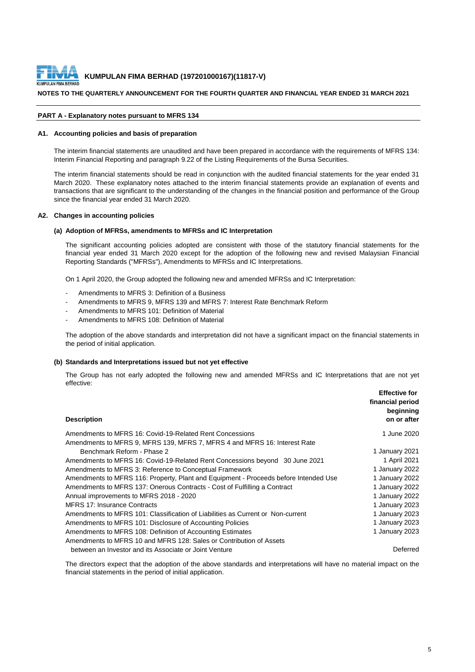

#### **NOTES TO THE QUARTERLY ANNOUNCEMENT FOR THE FOURTH QUARTER AND FINANCIAL YEAR ENDED 31 MARCH 2021**

#### **PART A - Explanatory notes pursuant to MFRS 134**

#### **A1. Accounting policies and basis of preparation**

The interim financial statements are unaudited and have been prepared in accordance with the requirements of MFRS 134: Interim Financial Reporting and paragraph 9.22 of the Listing Requirements of the Bursa Securities.

The interim financial statements should be read in conjunction with the audited financial statements for the year ended 31 March 2020. These explanatory notes attached to the interim financial statements provide an explanation of events and transactions that are significant to the understanding of the changes in the financial position and performance of the Group since the financial year ended 31 March 2020.

#### **A2. Changes in accounting policies**

#### **(a) Adoption of MFRSs, amendments to MFRSs and IC Interpretation**

The significant accounting policies adopted are consistent with those of the statutory financial statements for the financial year ended 31 March 2020 except for the adoption of the following new and revised Malaysian Financial Reporting Standards ("MFRSs"), Amendments to MFRSs and IC Interpretations.

On 1 April 2020, the Group adopted the following new and amended MFRSs and IC Interpretation:

- Amendments to MFRS 3: Definition of a Business
- Amendments to MFRS 9, MFRS 139 and MFRS 7: Interest Rate Benchmark Reform
- Amendments to MFRS 101: Definition of Material
- Amendments to MFRS 108: Definition of Material

The adoption of the above standards and interpretation did not have a significant impact on the financial statements in the period of initial application.

#### **(b) Standards and Interpretations issued but not yet effective**

The Group has not early adopted the following new and amended MFRSs and IC Interpretations that are not yet effective:

| <b>Description</b>                                                                   | <b>Effective for</b><br>financial period<br>beginning<br>on or after |
|--------------------------------------------------------------------------------------|----------------------------------------------------------------------|
| Amendments to MFRS 16: Covid-19-Related Rent Concessions                             | 1 June 2020                                                          |
| Amendments to MFRS 9, MFRS 139, MFRS 7, MFRS 4 and MFRS 16: Interest Rate            |                                                                      |
| Benchmark Reform - Phase 2                                                           | 1 January 2021                                                       |
| Amendments to MFRS 16: Covid-19-Related Rent Concessions beyond 30 June 2021         | 1 April 2021                                                         |
| Amendments to MFRS 3: Reference to Conceptual Framework                              | 1 January 2022                                                       |
| Amendments to MFRS 116: Property, Plant and Equipment - Proceeds before Intended Use | 1 January 2022                                                       |
| Amendments to MFRS 137: Onerous Contracts - Cost of Fulfilling a Contract            | 1 January 2022                                                       |
| Annual improvements to MFRS 2018 - 2020                                              | 1 January 2022                                                       |
| <b>MFRS 17: Insurance Contracts</b>                                                  | 1 January 2023                                                       |
| Amendments to MFRS 101: Classification of Liabilities as Current or Non-current      | 1 January 2023                                                       |
| Amendments to MFRS 101: Disclosure of Accounting Policies                            | 1 January 2023                                                       |
| Amendments to MFRS 108: Definition of Accounting Estimates                           | 1 January 2023                                                       |
| Amendments to MFRS 10 and MFRS 128: Sales or Contribution of Assets                  |                                                                      |
| between an Investor and its Associate or Joint Venture                               | <b>Deferred</b>                                                      |

The directors expect that the adoption of the above standards and interpretations will have no material impact on the financial statements in the period of initial application.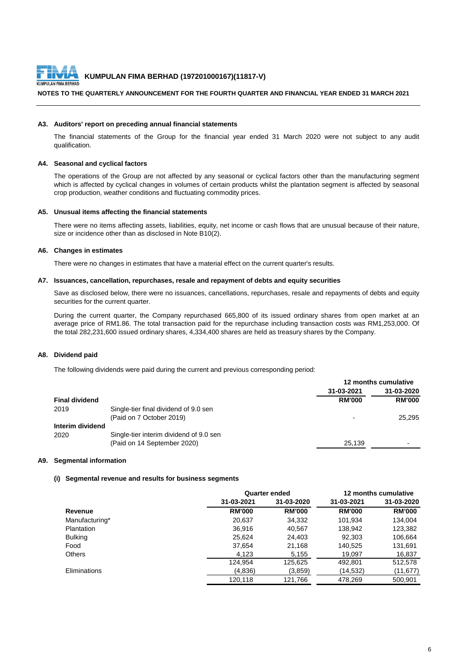

#### **NOTES TO THE QUARTERLY ANNOUNCEMENT FOR THE FOURTH QUARTER AND FINANCIAL YEAR ENDED 31 MARCH 2021**

#### **A3. Auditors' report on preceding annual financial statements**

The financial statements of the Group for the financial year ended 31 March 2020 were not subject to any audit qualification.

#### **A4. Seasonal and cyclical factors**

The operations of the Group are not affected by any seasonal or cyclical factors other than the manufacturing segment which is affected by cyclical changes in volumes of certain products whilst the plantation segment is affected by seasonal crop production, weather conditions and fluctuating commodity prices.

#### **A5. Unusual items affecting the financial statements**

There were no items affecting assets, liabilities, equity, net income or cash flows that are unusual because of their nature, size or incidence other than as disclosed in Note B10(2).

#### **A6. Changes in estimates**

There were no changes in estimates that have a material effect on the current quarter's results.

#### **A7. Issuances, cancellation, repurchases, resale and repayment of debts and equity securities**

Save as disclosed below, there were no issuances, cancellations, repurchases, resale and repayments of debts and equity securities for the current quarter.

During the current quarter, the Company repurchased 665,800 of its issued ordinary shares from open market at an average price of RM1.86. The total transaction paid for the repurchase including transaction costs was RM1,253,000. Of the total 282,231,600 issued ordinary shares, 4,334,400 shares are held as treasury shares by the Company.

#### **A8. Dividend paid**

The following dividends were paid during the current and previous corresponding period:

|                       |                                         | 12 months cumulative |                          |
|-----------------------|-----------------------------------------|----------------------|--------------------------|
|                       |                                         | 31-03-2021           | 31-03-2020               |
| <b>Final dividend</b> |                                         | <b>RM'000</b>        | <b>RM'000</b>            |
| 2019                  | Single-tier final dividend of 9.0 sen   |                      |                          |
|                       | (Paid on 7 October 2019)                |                      | 25,295                   |
| Interim dividend      |                                         |                      |                          |
| 2020                  | Single-tier interim dividend of 9.0 sen |                      |                          |
|                       | (Paid on 14 September 2020)             | 25,139               | $\overline{\phantom{a}}$ |
|                       |                                         |                      |                          |

#### **A9. Segmental information**

#### **(i) Segmental revenue and results for business segments**

|                     |               | <b>Quarter ended</b> | 12 months cumulative |               |  |
|---------------------|---------------|----------------------|----------------------|---------------|--|
|                     | 31-03-2021    | 31-03-2020           | 31-03-2021           | 31-03-2020    |  |
| Revenue             | <b>RM'000</b> | <b>RM'000</b>        | <b>RM'000</b>        | <b>RM'000</b> |  |
| Manufacturing*      | 20,637        | 34,332               | 101,934              | 134,004       |  |
| Plantation          | 36,916        | 40,567               | 138,942              | 123,382       |  |
| <b>Bulking</b>      | 25,624        | 24,403               | 92,303               | 106,664       |  |
| Food                | 37,654        | 21,168               | 140,525              | 131,691       |  |
| <b>Others</b>       | 4,123         | 5,155                | 19,097               | 16,837        |  |
|                     | 124,954       | 125,625              | 492,801              | 512,578       |  |
| <b>Eliminations</b> | (4,836)       | (3,859)              | (14, 532)            | (11, 677)     |  |
|                     | 120,118       | 121,766              | 478,269              | 500,901       |  |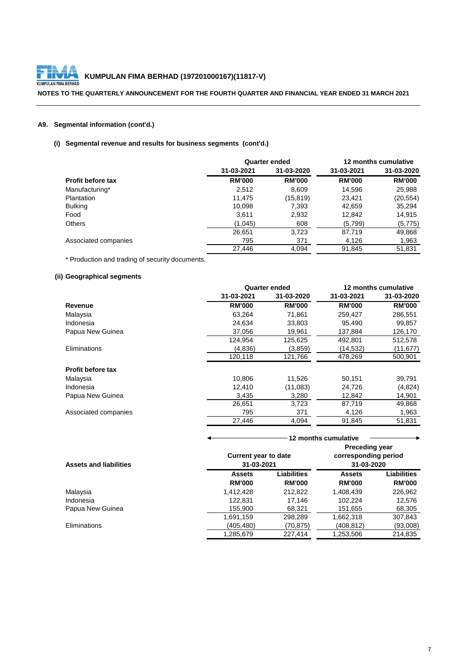

# **KUMPULAN FIMA BERHAD (197201000167)(11817-V)**<br>LAN FIMA BERHAD

**NOTES TO THE QUARTERLY ANNOUNCEMENT FOR THE FOURTH QUARTER AND FINANCIAL YEAR ENDED 31 MARCH 2021**

## **A9. Segmental information (cont'd.)**

## **(i) Segmental revenue and results for business segments (cont'd.)**

|                          |               | <b>Quarter ended</b> |               | 12 months cumulative |
|--------------------------|---------------|----------------------|---------------|----------------------|
|                          | 31-03-2021    | 31-03-2020           | 31-03-2021    | 31-03-2020           |
| <b>Profit before tax</b> | <b>RM'000</b> | <b>RM'000</b>        | <b>RM'000</b> | <b>RM'000</b>        |
| Manufacturing*           | 2,512         | 8,609                | 14,596        | 25,988               |
| Plantation               | 11,475        | (15,819)             | 23,421        | (20, 554)            |
| <b>Bulking</b>           | 10,098        | 7,393                | 42,659        | 35,294               |
| Food                     | 3,611         | 2,932                | 12,842        | 14,915               |
| <b>Others</b>            | (1,045)       | 608                  | (5,799)       | (5,775)              |
|                          | 26,651        | 3,723                | 87,719        | 49,868               |
| Associated companies     | 795           | 371                  | 4,126         | 1,963                |
|                          | 27,446        | 4,094                | 91,845        | 51,831               |

\* Production and trading of security documents.

## **(ii) Geographical segments**

|                          |               | <b>Quarter ended</b> |               | 12 months cumulative |
|--------------------------|---------------|----------------------|---------------|----------------------|
|                          | 31-03-2021    | 31-03-2020           | 31-03-2021    | 31-03-2020           |
| Revenue                  | <b>RM'000</b> | <b>RM'000</b>        | <b>RM'000</b> | <b>RM'000</b>        |
| Malaysia                 | 63,264        | 71,861               | 259,427       | 286,551              |
| Indonesia                | 24,634        | 33,803               | 95,490        | 99,857               |
| Papua New Guinea         | 37,056        | 19,961               | 137,884       | 126,170              |
|                          | 124,954       | 125,625              | 492,801       | 512,578              |
| Eliminations             | (4,836)       | (3,859)              | (14, 532)     | (11, 677)            |
|                          | 120,118       | 121,766              | 478,269       | 500,901              |
| <b>Profit before tax</b> |               |                      |               |                      |
| Malaysia                 | 10,806        | 11,526               | 50,151        | 39,791               |
| Indonesia                | 12,410        | (11,083)             | 24,726        | (4,824)              |
| Papua New Guinea         | 3,435         | 3,280                | 12,842        | 14,901               |
|                          | 26,651        | 3,723                | 87,719        | 49,868               |
| Associated companies     | 795           | 371                  | 4,126         | 1,963                |
|                          | 27,446        | 4,094                | 91,845        | 51,831               |
|                          |               |                      |               |                      |

|                               |                             |                    | 12 months cumulative  |                    |
|-------------------------------|-----------------------------|--------------------|-----------------------|--------------------|
|                               |                             |                    | <b>Preceding year</b> |                    |
|                               | <b>Current year to date</b> |                    | corresponding period  |                    |
| <b>Assets and liabilities</b> | 31-03-2021                  |                    | 31-03-2020            |                    |
|                               | <b>Assets</b>               | <b>Liabilities</b> | <b>Assets</b>         | <b>Liabilities</b> |
|                               | <b>RM'000</b>               | <b>RM'000</b>      | <b>RM'000</b>         | <b>RM'000</b>      |
| Malaysia                      | 1,412,428                   | 212,822            | 1,408,439             | 226,962            |
| Indonesia                     | 122,831                     | 17,146             | 102,224               | 12,576             |
| Papua New Guinea              | 155,900                     | 68,321             | 151,655               | 68,305             |
|                               | 1,691,159                   | 298,289            | 1,662,318             | 307,843            |
| Eliminations                  | (405,480)                   | (70,875)           | (408,812)             | (93,008)           |
|                               | 1,285,679                   | 227,414            | 1,253,506             | 214,835            |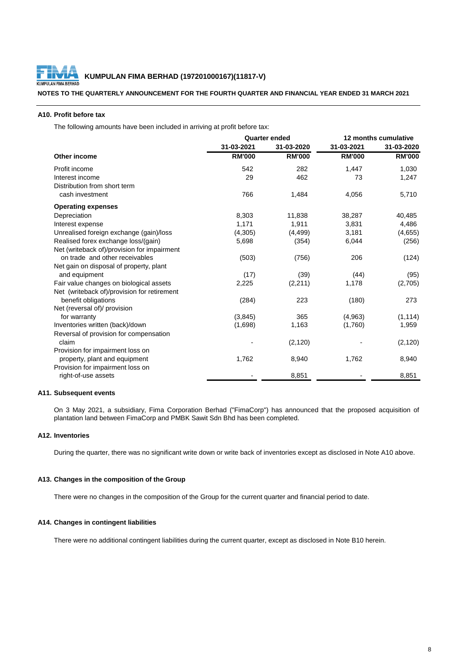

**NOTES TO THE QUARTERLY ANNOUNCEMENT FOR THE FOURTH QUARTER AND FINANCIAL YEAR ENDED 31 MARCH 2021**

#### **A10. Profit before tax**

The following amounts have been included in arriving at profit before tax:

|                                             | <b>Quarter ended</b> |               | 12 months cumulative |               |
|---------------------------------------------|----------------------|---------------|----------------------|---------------|
|                                             | 31-03-2021           | 31-03-2020    | 31-03-2021           | 31-03-2020    |
| <b>Other income</b>                         | <b>RM'000</b>        | <b>RM'000</b> | <b>RM'000</b>        | <b>RM'000</b> |
| Profit income                               | 542                  | 282           | 1,447                | 1,030         |
| Interest income                             | 29                   | 462           | 73                   | 1,247         |
| Distribution from short term                |                      |               |                      |               |
| cash investment                             | 766                  | 1,484         | 4,056                | 5,710         |
| <b>Operating expenses</b>                   |                      |               |                      |               |
| Depreciation                                | 8,303                | 11,838        | 38,287               | 40,485        |
| Interest expense                            | 1,171                | 1,911         | 3,831                | 4,486         |
| Unrealised foreign exchange (gain)/loss     | (4,305)              | (4, 499)      | 3,181                | (4,655)       |
| Realised forex exchange loss/(gain)         | 5,698                | (354)         | 6,044                | (256)         |
| Net (writeback of)/provision for impairment |                      |               |                      |               |
| on trade and other receivables              | (503)                | (756)         | 206                  | (124)         |
| Net gain on disposal of property, plant     |                      |               |                      |               |
| and equipment                               | (17)                 | (39)          | (44)                 | (95)          |
| Fair value changes on biological assets     | 2,225                | (2, 211)      | 1,178                | (2,705)       |
| Net (writeback of)/provision for retirement |                      |               |                      |               |
| benefit obligations                         | (284)                | 223           | (180)                | 273           |
| Net (reversal of)/ provision                |                      |               |                      |               |
| for warranty                                | (3, 845)             | 365           | (4,963)              | (1, 114)      |
| Inventories written (back)/down             | (1,698)              | 1,163         | (1,760)              | 1,959         |
| Reversal of provision for compensation      |                      |               |                      |               |
| claim                                       |                      | (2, 120)      |                      | (2, 120)      |
| Provision for impairment loss on            |                      |               |                      |               |
| property, plant and equipment               | 1,762                | 8,940         | 1,762                | 8,940         |
| Provision for impairment loss on            |                      |               |                      |               |
| right-of-use assets                         |                      | 8,851         |                      | 8,851         |
|                                             |                      |               |                      |               |

#### **A11. Subsequent events**

On 3 May 2021, a subsidiary, Fima Corporation Berhad ("FimaCorp") has announced that the proposed acquisition of plantation land between FimaCorp and PMBK Sawit Sdn Bhd has been completed.

### **A12. Inventories**

During the quarter, there was no significant write down or write back of inventories except as disclosed in Note A10 above.

#### **A13. Changes in the composition of the Group**

There were no changes in the composition of the Group for the current quarter and financial period to date.

#### **A14. Changes in contingent liabilities**

There were no additional contingent liabilities during the current quarter, except as disclosed in Note B10 herein.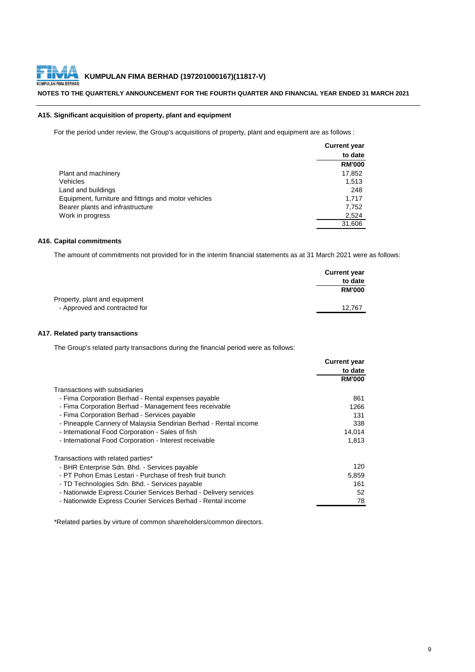

#### **NOTES TO THE QUARTERLY ANNOUNCEMENT FOR THE FOURTH QUARTER AND FINANCIAL YEAR ENDED 31 MARCH 2021**

#### **A15. Significant acquisition of property, plant and equipment**

For the period under review, the Group's acquisitions of property, plant and equipment are as follows :

|                                                      | <b>Current year</b> |
|------------------------------------------------------|---------------------|
|                                                      | to date             |
|                                                      | <b>RM'000</b>       |
| Plant and machinery                                  | 17,852              |
| <b>Vehicles</b>                                      | 1,513               |
| Land and buildings                                   | 248                 |
| Equipment, furniture and fittings and motor vehicles | 1,717               |
| Bearer plants and infrastructure                     | 7,752               |
| Work in progress                                     | 2,524               |
|                                                      | 31,606              |

#### **A16. Capital commitments**

The amount of commitments not provided for in the interim financial statements as at 31 March 2021 were as follows:

|                               | <b>Current year</b> |
|-------------------------------|---------------------|
|                               | to date             |
|                               | <b>RM'000</b>       |
| Property, plant and equipment |                     |
| - Approved and contracted for | 12,767              |

#### **A17. Related party transactions**

The Group's related party transactions during the financial period were as follows:

|                                                                  | <b>Current year</b> |
|------------------------------------------------------------------|---------------------|
|                                                                  | to date             |
|                                                                  | <b>RM'000</b>       |
| Transactions with subsidiaries                                   |                     |
| - Fima Corporation Berhad - Rental expenses payable              | 861                 |
| - Fima Corporation Berhad - Management fees receivable           | 1266                |
| - Fima Corporation Berhad - Services payable                     | 131                 |
| - Pineapple Cannery of Malaysia Sendirian Berhad - Rental income | 338                 |
| - International Food Corporation - Sales of fish                 | 14,014              |
| - International Food Corporation - Interest receivable           | 1,813               |
| Transactions with related parties*                               |                     |
| - BHR Enterprise Sdn. Bhd. - Services payable                    | 120                 |
| - PT Pohon Emas Lestari - Purchase of fresh fruit bunch          | 5,859               |
| - TD Technologies Sdn. Bhd. - Services payable                   | 161                 |
| - Nationwide Express Courier Services Berhad - Delivery services | 52                  |
| - Nationwide Express Courier Services Berhad - Rental income     | 78                  |

\*Related parties by virture of common shareholders/common directors.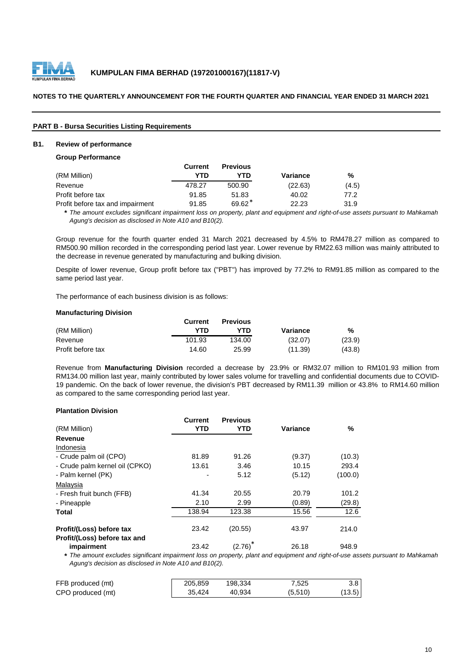

#### **NOTES TO THE QUARTERLY ANNOUNCEMENT FOR THE FOURTH QUARTER AND FINANCIAL YEAR ENDED 31 MARCH 2021**

| <b>PART B - Bursa Securities Listing Requirements</b> |  |  |
|-------------------------------------------------------|--|--|
|                                                       |  |  |

#### **B1. Review of performance**

#### **Group Performance**

|                                  | <b>Current</b> | <b>Previous</b> |          |       |
|----------------------------------|----------------|-----------------|----------|-------|
| (RM Million)                     | YTD            | YTD             | Variance | %     |
| Revenue                          | 478.27         | 500.90          | (22.63)  | (4.5) |
| Profit before tax                | 91.85          | 51.83           | 40.02    | 77.2  |
| Profit before tax and impairment | 91.85          | $69.62*$        | 22.23    | 31.9  |

\* The amount excludes significant impairment loss on property, plant and equipment and right-of-use assets pursuant to Mahkamah *Agung's decision as disclosed in Note A10 and B10(2).*

Group revenue for the fourth quarter ended 31 March 2021 decreased by 4.5% to RM478.27 million as compared to RM500.90 million recorded in the corresponding period last year. Lower revenue by RM22.63 million was mainly attributed to the decrease in revenue generated by manufacturing and bulking division.

Despite of lower revenue, Group profit before tax ("PBT") has improved by 77.2% to RM91.85 million as compared to the same period last year.

The performance of each business division is as follows:

#### **Manufacturing Division**

|                   | <b>Current</b> | <b>Previous</b> |          |        |
|-------------------|----------------|-----------------|----------|--------|
| (RM Million)      | YTN            | <b>YTD</b>      | Variance | %      |
| Revenue           | 101.93         | 134.00          | (32.07)  | (23.9) |
| Profit before tax | 14.60          | 25.99           | (11.39)  | (43.8) |

Revenue from **Manufacturing Division** recorded a decrease by 23.9% or RM32.07 million to RM101.93 million from RM134.00 million last year, mainly contributed by lower sales volume for travelling and confidential documents due to COVID-19 pandemic. On the back of lower revenue, the division's PBT decreased by RM11.39 million or 43.8% to RM14.60 million as compared to the same corresponding period last year.

#### **Plantation Division**

| (RM Million)                   | <b>Current</b><br><b>YTD</b> | <b>Previous</b><br><b>YTD</b> | <b>Variance</b> | %       |
|--------------------------------|------------------------------|-------------------------------|-----------------|---------|
| Revenue                        |                              |                               |                 |         |
| Indonesia                      |                              |                               |                 |         |
| - Crude palm oil (CPO)         | 81.89                        | 91.26                         | (9.37)          | (10.3)  |
| - Crude palm kernel oil (CPKO) | 13.61                        | 3.46                          | 10.15           | 293.4   |
| - Palm kernel (PK)             |                              | 5.12                          | (5.12)          | (100.0) |
| Malaysia                       |                              |                               |                 |         |
| - Fresh fruit bunch (FFB)      | 41.34                        | 20.55                         | 20.79           | 101.2   |
| - Pineapple                    | 2.10                         | 2.99                          | (0.89)          | (29.8)  |
| <b>Total</b>                   | 138.94                       | 123.38                        | 15.56           | 12.6    |
|                                |                              |                               |                 |         |
| Profit/(Loss) before tax       | 23.42                        | (20.55)                       | 43.97           | 214.0   |
| Profit/(Loss) before tax and   |                              |                               |                 |         |
| impairment                     | 23.42                        | (2.76)                        | 26.18           | 948.9   |

\* The amount excludes significant impairment loss on property, plant and equipment and right-of-use assets pursuant to Mahkamah *Agung's decision as disclosed in Note A10 and B10(2).*

| FFB produced (mt) | 205,859 | 198,334 | 7.525   | 3.8 <sub>1</sub> |
|-------------------|---------|---------|---------|------------------|
| CPO produced (mt) | 35,424  | 40.934  | (5,510) | (13.5)           |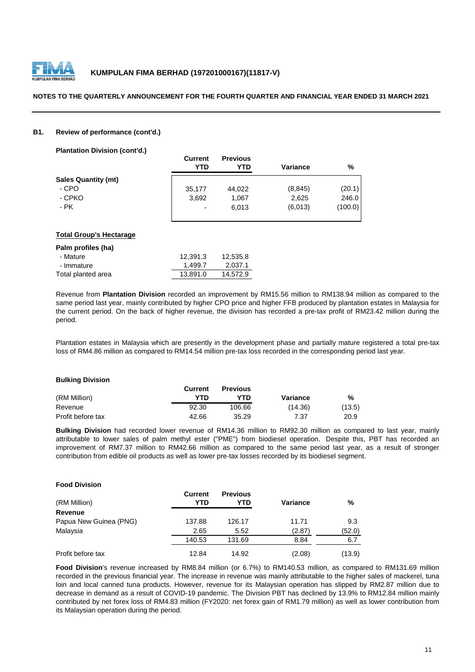

#### **NOTES TO THE QUARTERLY ANNOUNCEMENT FOR THE FOURTH QUARTER AND FINANCIAL YEAR ENDED 31 MARCH 2021**

#### **B1. Review of performance (cont'd.)**

**Plantation Division (cont'd.)**

| <b>Current</b><br>YTD | <b>Previous</b><br><b>YTD</b> | <b>Variance</b> | %       |
|-----------------------|-------------------------------|-----------------|---------|
|                       |                               |                 |         |
| 35,177                | 44,022                        | (8, 845)        | (20.1)  |
| 3,692                 | 1,067                         | 2,625           | 246.0   |
| $\blacksquare$        | 6,013                         | (6,013)         | (100.0) |
|                       |                               |                 |         |

#### **Total Group's Hectarage**

| Palm profiles (ha) |          |          |
|--------------------|----------|----------|
| - Mature           | 12,391.3 | 12,535.8 |
| - Immature         | 1,499.7  | 2,037.1  |
| Total planted area | 13,891.0 | 14,572.9 |

Revenue from **Plantation Division** recorded an improvement by RM15.56 million to RM138.94 million as compared to the same period last year, mainly contributed by higher CPO price and higher FFB produced by plantation estates in Malaysia for the current period. On the back of higher revenue, the division has recorded a pre-tax profit of RM23.42 million during the period.

Plantation estates in Malaysia which are presently in the development phase and partially mature registered a total pre-tax loss of RM4.86 million as compared to RM14.54 million pre-tax loss recorded in the corresponding period last year.

| <b>Bulking Division</b> |                |                 |                 |        |
|-------------------------|----------------|-----------------|-----------------|--------|
|                         | <b>Current</b> | <b>Previous</b> |                 |        |
| (RM Million)            | YTD            | YTD             | <b>Variance</b> | %      |
| Revenue                 | 92.30          | 106.66          | (14.36)         | (13.5) |
| Profit before tax       | 42.66          | 35.29           | 7.37            | 20.9   |

**Bulking Division** had recorded lower revenue of RM14.36 million to RM92.30 million as compared to last year, mainly attributable to lower sales of palm methyl ester ("PME") from biodiesel operation. Despite this, PBT has recorded an improvement of RM7.37 million to RM42.66 million as compared to the same period last year, as a result of stronger contribution from edible oil products as well as lower pre-tax losses recorded by its biodiesel segment.

#### **Food Division**

| (RM Million)           | <b>Current</b><br>YTD | <b>Previous</b><br>YTD | Variance | %      |
|------------------------|-----------------------|------------------------|----------|--------|
| <b>Revenue</b>         |                       |                        |          |        |
| Papua New Guinea (PNG) | 137.88                | 126.17                 | 11.71    | 9.3    |
| Malaysia               | 2.65                  | 5.52                   | (2.87)   | (52.0) |
|                        | 140.53                | 131.69                 | 8.84     | 6.7    |
| Profit before tax      | 12.84                 | 14.92                  | (2.08)   | (13.9) |

**Food Division**'s revenue increased by RM8.84 million (or 6.7%) to RM140.53 million, as compared to RM131.69 million recorded in the previous financial year. The increase in revenue was mainly attributable to the higher sales of mackerel, tuna loin and local canned tuna products. However, revenue for its Malaysian operation has slipped by RM2.87 million due to decrease in demand as a result of COVID-19 pandemic. The Division PBT has declined by 13.9% to RM12.84 million mainly contributed by net forex loss of RM4.83 million (FY2020: net forex gain of RM1.79 million) as well as lower contribution from its Malaysian operation during the period.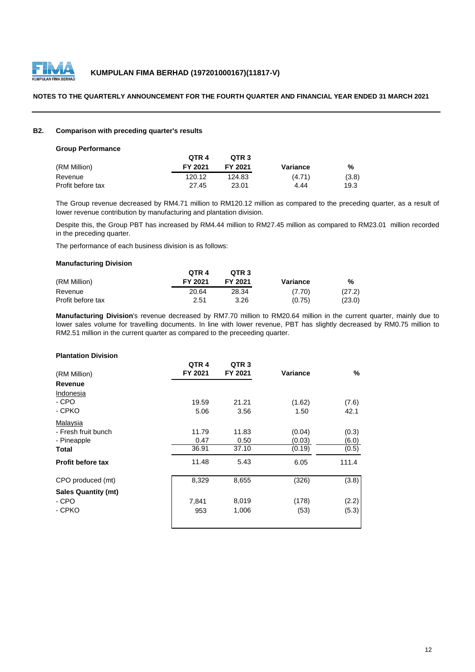

#### **NOTES TO THE QUARTERLY ANNOUNCEMENT FOR THE FOURTH QUARTER AND FINANCIAL YEAR ENDED 31 MARCH 2021**

#### **B2. Comparison with preceding quarter's results**

| <b>Group Performance</b> |
|--------------------------|
|--------------------------|

|                   | QTR 4   | OTR <sub>3</sub> |          |       |
|-------------------|---------|------------------|----------|-------|
| (RM Million)      | FY 2021 | FY 2021          | Variance | %     |
| Revenue           | 120.12  | 124.83           | (4.71)   | (3.8) |
| Profit before tax | 27.45   | 23.01            | 4.44     | 19.3  |

The Group revenue decreased by RM4.71 million to RM120.12 million as compared to the preceding quarter, as a result of lower revenue contribution by manufacturing and plantation division.

Despite this, the Group PBT has increased by RM4.44 million to RM27.45 million as compared to RM23.01 million recorded in the preceding quarter.

The performance of each business division is as follows:

#### **Manufacturing Division**

|                   | QTR 4   | OTR <sub>3</sub> |          |        |
|-------------------|---------|------------------|----------|--------|
| (RM Million)      | FY 2021 | FY 2021          | Variance | %      |
| Revenue           | 20.64   | 28.34            | (7.70)   | (27.2) |
| Profit before tax | 2.51    | 3.26             | (0.75)   | (23.0) |

**Manufacturing Division**'s revenue decreased by RM7.70 million to RM20.64 million in the current quarter, mainly due to lower sales volume for travelling documents. In line with lower revenue, PBT has slightly decreased by RM0.75 million to RM2.51 million in the current quarter as compared to the preceeding quarter.

#### **Plantation Division**

|                            | QTR <sub>4</sub> | QTR <sub>3</sub> |                 |       |
|----------------------------|------------------|------------------|-----------------|-------|
| (RM Million)               | FY 2021          | FY 2021          | <b>Variance</b> | %     |
| <b>Revenue</b>             |                  |                  |                 |       |
| <b>Indonesia</b>           |                  |                  |                 |       |
| - CPO                      | 19.59            | 21.21            | (1.62)          | (7.6) |
| - CPKO                     | 5.06             | 3.56             | 1.50            | 42.1  |
| Malaysia                   |                  |                  |                 |       |
| - Fresh fruit bunch        | 11.79            | 11.83            | (0.04)          | (0.3) |
| - Pineapple                | 0.47             | 0.50             | (0.03)          | (6.0) |
| <b>Total</b>               | 36.91            | 37.10            | (0.19)          | (0.5) |
| <b>Profit before tax</b>   | 11.48            | 5.43             | 6.05            | 111.4 |
| CPO produced (mt)          | 8,329            | 8,655            | (326)           | (3.8) |
| <b>Sales Quantity (mt)</b> |                  |                  |                 |       |
| - CPO                      | 7,841            | 8,019            | (178)           | (2.2) |
| - CPKO                     | 953              | 1,006            | (53)            | (5.3) |
|                            |                  |                  |                 |       |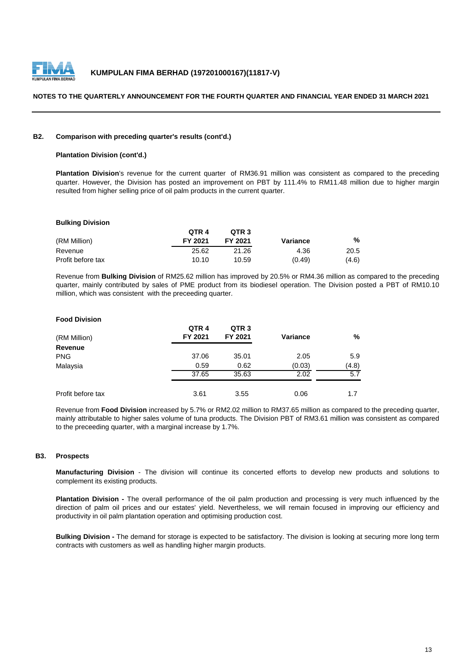

#### **NOTES TO THE QUARTERLY ANNOUNCEMENT FOR THE FOURTH QUARTER AND FINANCIAL YEAR ENDED 31 MARCH 2021**

#### **B2. Comparison with preceding quarter's results (cont'd.)**

#### **Plantation Division (cont'd.)**

**Plantation Division**'s revenue for the current quarter of RM36.91 million was consistent as compared to the preceding quarter. However, the Division has posted an improvement on PBT by 111.4% to RM11.48 million due to higher margin resulted from higher selling price of oil palm products in the current quarter.

#### **Bulking Division**

|                   | QTR 4   | QTR <sub>3</sub> |          |       |
|-------------------|---------|------------------|----------|-------|
| (RM Million)      | FY 2021 | FY 2021          | Variance | %     |
| Revenue           | 25.62   | 21.26            | 4.36     | 20.5  |
| Profit before tax | 10.10   | 10.59            | (0.49)   | (4.6) |

Revenue from **Bulking Division** of RM25.62 million has improved by 20.5% or RM4.36 million as compared to the preceding quarter, mainly contributed by sales of PME product from its biodiesel operation. The Division posted a PBT of RM10.10 million, which was consistent with the preceeding quarter.

#### **Food Division**

| (RM Million)      | QTR <sub>4</sub><br>FY 2021 | QTR <sub>3</sub><br>FY 2021 | <b>Variance</b> | $\%$  |
|-------------------|-----------------------------|-----------------------------|-----------------|-------|
| <b>Revenue</b>    |                             |                             |                 |       |
| <b>PNG</b>        | 37.06                       | 35.01                       | 2.05            | 5.9   |
| Malaysia          | 0.59                        | 0.62                        | (0.03)          | (4.8) |
|                   | 37.65                       | 35.63                       | 2.02            | 5.7   |
| Profit before tax | 3.61                        | 3.55                        | 0.06            | 1.7   |

Revenue from **Food Division** increased by 5.7% or RM2.02 million to RM37.65 million as compared to the preceding quarter, mainly attributable to higher sales volume of tuna products. The Division PBT of RM3.61 million was consistent as compared to the preceeding quarter, with a marginal increase by 1.7%.

#### **B3. Prospects**

**Manufacturing Division** - The division will continue its concerted efforts to develop new products and solutions to complement its existing products.

**Plantation Division -** The overall performance of the oil palm production and processing is very much influenced by the direction of palm oil prices and our estates' yield. Nevertheless, we will remain focused in improving our efficiency and productivity in oil palm plantation operation and optimising production cost.

**Bulking Division -** The demand for storage is expected to be satisfactory. The division is looking at securing more long term contracts with customers as well as handling higher margin products.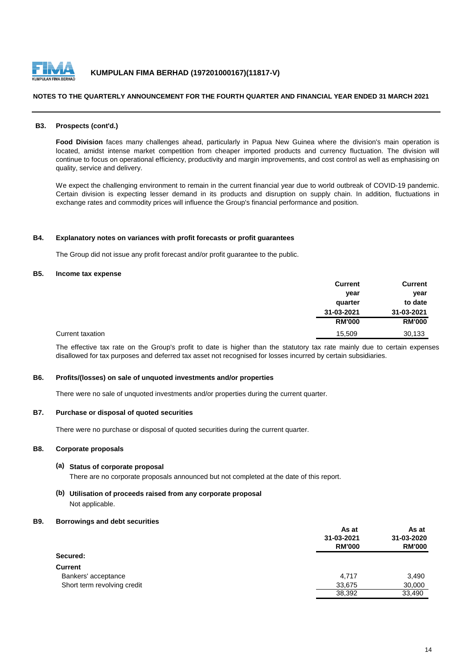

#### **NOTES TO THE QUARTERLY ANNOUNCEMENT FOR THE FOURTH QUARTER AND FINANCIAL YEAR ENDED 31 MARCH 2021**

#### **B3. Prospects (cont'd.)**

**Food Division** faces many challenges ahead, particularly in Papua New Guinea where the division's main operation is located, amidst intense market competition from cheaper imported products and currency fluctuation. The division will continue to focus on operational efficiency, productivity and margin improvements, and cost control as well as emphasising on quality, service and delivery.

We expect the challenging environment to remain in the current financial year due to world outbreak of COVID-19 pandemic. Certain division is expecting lesser demand in its products and disruption on supply chain. In addition, fluctuations in exchange rates and commodity prices will influence the Group's financial performance and position.

#### **B4. Explanatory notes on variances with profit forecasts or profit guarantees**

The Group did not issue any profit forecast and/or profit guarantee to the public.

#### **B5. Income tax expense**

|                  | <b>Current</b> | <b>Current</b> |
|------------------|----------------|----------------|
|                  | year           | year           |
|                  | quarter        | to date        |
|                  | 31-03-2021     | 31-03-2021     |
|                  | <b>RM'000</b>  | <b>RM'000</b>  |
| Current taxation | 15,509         | 30,133         |

The effective tax rate on the Group's profit to date is higher than the statutory tax rate mainly due to certain expenses disallowed for tax purposes and deferred tax asset not recognised for losses incurred by certain subsidiaries.

#### **B6. Profits/(losses) on sale of unquoted investments and/or properties**

There were no sale of unquoted investments and/or properties during the current quarter.

#### **B7. Purchase or disposal of quoted securities**

There were no purchase or disposal of quoted securities during the current quarter.

#### **B8. Corporate proposals**

#### **(a) Status of corporate proposal**

There are no corporate proposals announced but not completed at the date of this report.

### **(b) Utilisation of proceeds raised from any corporate proposal** Not applicable.

#### **B9. Borrowings and debt securities**

|                             | As at         | As at<br>31-03-2020<br><b>RM'000</b> |
|-----------------------------|---------------|--------------------------------------|
|                             | 31-03-2021    |                                      |
|                             | <b>RM'000</b> |                                      |
| Secured:                    |               |                                      |
| <b>Current</b>              |               |                                      |
| Bankers' acceptance         | 4,717         | 3,490                                |
| Short term revolving credit | 33,675        | 30,000                               |
|                             | 38,392        | 33,490                               |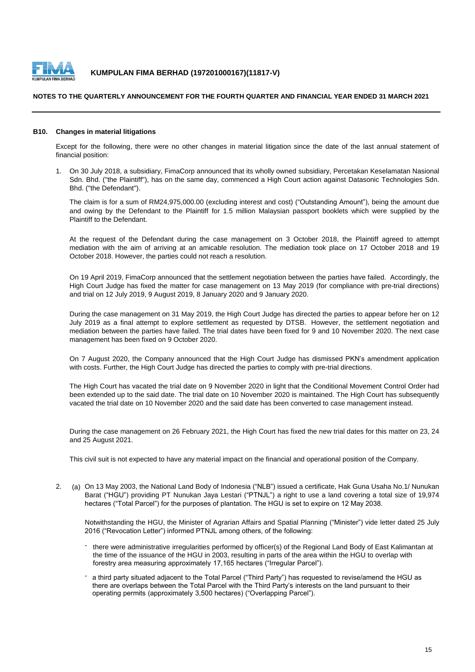

#### **NOTES TO THE QUARTERLY ANNOUNCEMENT FOR THE FOURTH QUARTER AND FINANCIAL YEAR ENDED 31 MARCH 2021**

#### **B10. Changes in material litigations**

Except for the following, there were no other changes in material litigation since the date of the last annual statement of financial position:

1. On 30 July 2018, a subsidiary, FimaCorp announced that its wholly owned subsidiary, Percetakan Keselamatan Nasional Sdn. Bhd. ("the Plaintiff"), has on the same day, commenced a High Court action against Datasonic Technologies Sdn. Bhd. ("the Defendant").

The claim is for a sum of RM24,975,000.00 (excluding interest and cost) ("Outstanding Amount"), being the amount due and owing by the Defendant to the Plaintiff for 1.5 million Malaysian passport booklets which were supplied by the Plaintiff to the Defendant.

At the request of the Defendant during the case management on 3 October 2018, the Plaintiff agreed to attempt mediation with the aim of arriving at an amicable resolution. The mediation took place on 17 October 2018 and 19 October 2018. However, the parties could not reach a resolution.

On 19 April 2019, FimaCorp announced that the settlement negotiation between the parties have failed. Accordingly, the High Court Judge has fixed the matter for case management on 13 May 2019 (for compliance with pre-trial directions) and trial on 12 July 2019, 9 August 2019, 8 January 2020 and 9 January 2020.

During the case management on 31 May 2019, the High Court Judge has directed the parties to appear before her on 12 July 2019 as a final attempt to explore settlement as requested by DTSB. However, the settlement negotiation and mediation between the parties have failed. The trial dates have been fixed for 9 and 10 November 2020. The next case management has been fixed on 9 October 2020.

On 7 August 2020, the Company announced that the High Court Judge has dismissed PKN's amendment application with costs. Further, the High Court Judge has directed the parties to comply with pre-trial directions.

The High Court has vacated the trial date on 9 November 2020 in light that the Conditional Movement Control Order had been extended up to the said date. The trial date on 10 November 2020 is maintained. The High Court has subsequently vacated the trial date on 10 November 2020 and the said date has been converted to case management instead.

During the case management on 26 February 2021, the High Court has fixed the new trial dates for this matter on 23, 24 and 25 August 2021.

This civil suit is not expected to have any material impact on the financial and operational position of the Company.

2. (a) On 13 May 2003, the National Land Body of Indonesia ("NLB") issued a certificate, Hak Guna Usaha No.1/ Nunukan Barat ("HGU") providing PT Nunukan Jaya Lestari ("PTNJL") a right to use a land covering a total size of 19,974 hectares ("Total Parcel") for the purposes of plantation. The HGU is set to expire on 12 May 2038.

Notwithstanding the HGU, the Minister of Agrarian Affairs and Spatial Planning ("Minister") vide letter dated 25 July 2016 ("Revocation Letter") informed PTNJL among others, of the following:

- there were administrative irregularities performed by officer(s) of the Regional Land Body of East Kalimantan at the time of the issuance of the HGU in 2003, resulting in parts of the area within the HGU to overlap with forestry area measuring approximately 17,165 hectares ("Irregular Parcel").
- a third party situated adjacent to the Total Parcel ("Third Party") has requested to revise/amend the HGU as there are overlaps between the Total Parcel with the Third Party's interests on the land pursuant to their operating permits (approximately 3,500 hectares) ("Overlapping Parcel").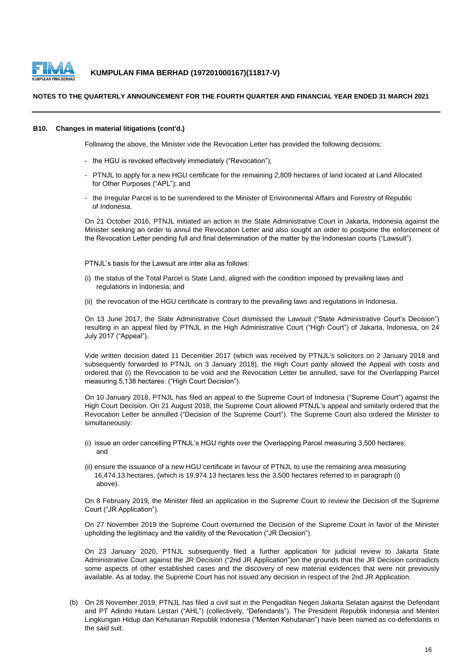

#### **NOTES TO THE QUARTERLY ANNOUNCEMENT FOR THE FOURTH QUARTER AND FINANCIAL YEAR ENDED 31 MARCH 2021**

#### **B10. Changes in material litigations (cont'd.)**

Following the above, the Minister vide the Revocation Letter has provided the following decisions:

- the HGU is revoked effectively immediately ("Revocation");
- PTNJL to apply for a new HGU certificate for the remaining 2,809 hectares of land located at Land Allocated for Other Purposes ("APL"); and
- the Irregular Parcel is to be surrendered to the Minister of Environmental Affairs and Forestry of Republic of Indonesia.

On 21 October 2016, PTNJL initiated an action in the State Administrative Court in Jakarta, Indonesia against the Minister seeking an order to annul the Revocation Letter and also sought an order to postpone the enforcement of the Revocation Letter pending full and final determination of the matter by the Indonesian courts ("Lawsuit").

PTNJL's basis for the Lawsuit are inter alia as follows:

- (i) the status of the Total Parcel is State Land, aligned with the condition imposed by prevailing laws and regulations in Indonesia; and
- (ii) the revocation of the HGU certificate is contrary to the prevailing laws and regulations in Indonesia.

On 13 June 2017, the State Administrative Court dismissed the Lawsuit ("State Administrative Court's Decision") resulting in an appeal filed by PTNJL in the High Administrative Court ("High Court") of Jakarta, Indonesia, on 24 July 2017 ("Appeal").

Vide written decision dated 11 December 2017 (which was received by PTNJL's solicitors on 2 January 2018 and subsequently forwarded to PTNJL on 3 January 2018), the High Court partly allowed the Appeal with costs and ordered that (i) the Revocation to be void and the Revocation Letter be annulled, save for the Overlapping Parcel measuring 5,138 hectares. ("High Court Decision").

On 10 January 2018, PTNJL has filed an appeal to the Supreme Court of Indonesia ("Supreme Court") against the High Court Decision. On 21 August 2018, the Supreme Court allowed PTNJL's appeal and similarly ordered that the Revocation Letter be annulled ("Decision of the Supreme Court"). The Supreme Court also ordered the Minister to simultaneously:

- (i) issue an order cancelling PTNJL's HGU rights over the Overlapping Parcel measuring 3,500 hectares; and
- (ii) ensure the issuance of a new HGU certificate in favour of PTNJL to use the remaining area measuring 16,474.13 hectares, (which is 19,974.13 hectares less the 3,500 hectares referred to in paragraph (i) above).

On 8 February 2019, the Minister filed an application in the Supreme Court to review the Decision of the Supreme Court ("JR Application").

On 27 November 2019 the Supreme Court overturned the Decision of the Supreme Court in favor of the Minister upholding the legitimacy and the validity of the Revocation ("JR Decision").

On 23 January 2020, PTNJL subsequently filed a further application for judicial review to Jakarta State Administrative Court against the JR Decision ("2nd JR Application")on the grounds that the JR Decision contradicts some aspects of other established cases and the discovery of new material evidences that were not previously available. As at today, the Supreme Court has not issued any decision in respect of the 2nd JR Application.

(b) On 28 November 2019, PTNJL has filed a civil suit in the Pengadilan Negeri Jakarta Selatan against the Defendant and PT Adindo Hutani Lestari ("AHL") (collectively, "Defendants"). The President Republik Indonesia and Menteri Lingkungan Hidup dan Kehutanan Republik Indonesia ("Menteri Kehutanan") have been named as co-defendants in the said suit.